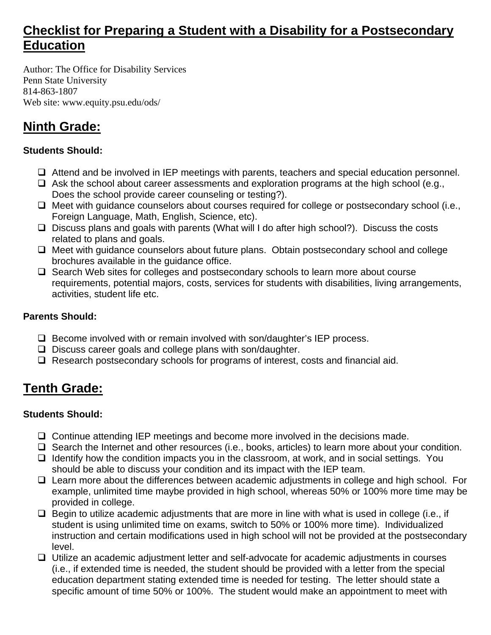# **Checklist for Preparing a Student with a Disability for a Postsecondary Education**

Author: The Office for Disability Services Penn State University 814-863-1807 Web site: www.equity.psu.edu/ods/

# **Ninth Grade:**

#### **Students Should:**

- Attend and be involved in IEP meetings with parents, teachers and special education personnel.
- $\Box$  Ask the school about career assessments and exploration programs at the high school (e.g., Does the school provide career counseling or testing?).
- $\Box$  Meet with guidance counselors about courses required for college or postsecondary school (i.e., Foreign Language, Math, English, Science, etc).
- □ Discuss plans and goals with parents (What will I do after high school?). Discuss the costs related to plans and goals.
- $\Box$  Meet with guidance counselors about future plans. Obtain postsecondary school and college brochures available in the guidance office.
- $\Box$  Search Web sites for colleges and postsecondary schools to learn more about course requirements, potential majors, costs, services for students with disabilities, living arrangements, activities, student life etc.

#### **Parents Should:**

- $\Box$  Become involved with or remain involved with son/daughter's IEP process.
- $\square$  Discuss career goals and college plans with son/daughter.
- $\Box$  Research postsecondary schools for programs of interest, costs and financial aid.

# **Tenth Grade:**

### **Students Should:**

- $\Box$  Continue attending IEP meetings and become more involved in the decisions made.
- $\Box$  Search the Internet and other resources (i.e., books, articles) to learn more about your condition.
- $\Box$  Identify how the condition impacts you in the classroom, at work, and in social settings. You should be able to discuss your condition and its impact with the IEP team.
- $\Box$  Learn more about the differences between academic adjustments in college and high school. For example, unlimited time maybe provided in high school, whereas 50% or 100% more time may be provided in college.
- $\Box$  Begin to utilize academic adjustments that are more in line with what is used in college (i.e., if student is using unlimited time on exams, switch to 50% or 100% more time). Individualized instruction and certain modifications used in high school will not be provided at the postsecondary level.
- Utilize an academic adjustment letter and self-advocate for academic adjustments in courses (i.e., if extended time is needed, the student should be provided with a letter from the special education department stating extended time is needed for testing. The letter should state a specific amount of time 50% or 100%. The student would make an appointment to meet with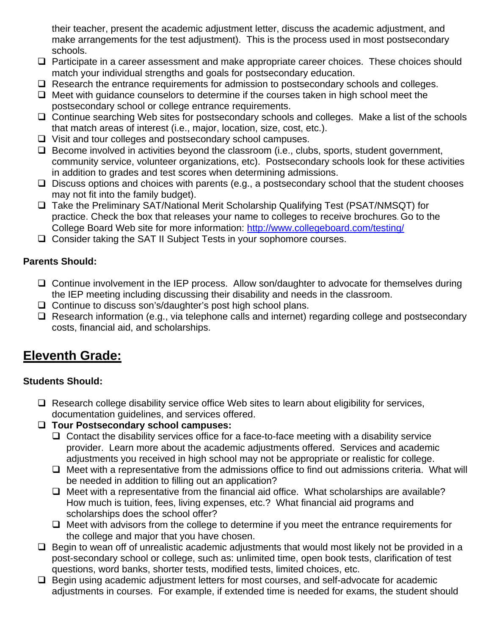their teacher, present the academic adjustment letter, discuss the academic adjustment, and make arrangements for the test adjustment). This is the process used in most postsecondary schools.

- $\Box$  Participate in a career assessment and make appropriate career choices. These choices should match your individual strengths and goals for postsecondary education.
- $\Box$  Research the entrance requirements for admission to postsecondary schools and colleges.
- $\Box$  Meet with guidance counselors to determine if the courses taken in high school meet the postsecondary school or college entrance requirements.
- □ Continue searching Web sites for postsecondary schools and colleges. Make a list of the schools that match areas of interest (i.e., major, location, size, cost, etc.).
- $\Box$  Visit and tour colleges and postsecondary school campuses.
- $\Box$  Become involved in activities beyond the classroom (i.e., clubs, sports, student government, community service, volunteer organizations, etc). Postsecondary schools look for these activities in addition to grades and test scores when determining admissions.
- $\Box$  Discuss options and choices with parents (e.g., a postsecondary school that the student chooses may not fit into the family budget).
- □ Take the Preliminary SAT/National Merit Scholarship Qualifying Test (PSAT/NMSQT) for practice. Check the box that releases your name to colleges to receive brochures. Go to the College Board Web site for more information: http://www.collegeboard.com/testing/
- □ Consider taking the SAT II Subject Tests in your sophomore courses.

#### **Parents Should:**

- $\Box$  Continue involvement in the IEP process. Allow son/daughter to advocate for themselves during the IEP meeting including discussing their disability and needs in the classroom.
- $\Box$  Continue to discuss son's/daughter's post high school plans.
- $\Box$  Research information (e.g., via telephone calls and internet) regarding college and postsecondary costs, financial aid, and scholarships.

# **Eleventh Grade:**

### **Students Should:**

- $\Box$  Research college disability service office Web sites to learn about eligibility for services, documentation guidelines, and services offered.
- **Tour Postsecondary school campuses:** 
	- $\Box$  Contact the disability services office for a face-to-face meeting with a disability service provider. Learn more about the academic adjustments offered. Services and academic adjustments you received in high school may not be appropriate or realistic for college.
	- $\Box$  Meet with a representative from the admissions office to find out admissions criteria. What will be needed in addition to filling out an application?
	- $\Box$  Meet with a representative from the financial aid office. What scholarships are available? How much is tuition, fees, living expenses, etc.? What financial aid programs and scholarships does the school offer?
	- $\Box$  Meet with advisors from the college to determine if you meet the entrance requirements for the college and major that you have chosen.
- $\Box$  Begin to wean off of unrealistic academic adjustments that would most likely not be provided in a post-secondary school or college, such as: unlimited time, open book tests, clarification of test questions, word banks, shorter tests, modified tests, limited choices, etc.
- $\Box$  Begin using academic adjustment letters for most courses, and self-advocate for academic adjustments in courses. For example, if extended time is needed for exams, the student should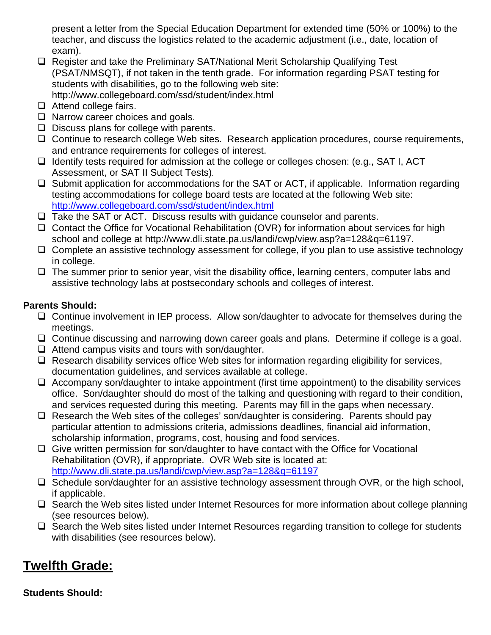present a letter from the Special Education Department for extended time (50% or 100%) to the teacher, and discuss the logistics related to the academic adjustment (i.e., date, location of exam).

- □ Register and take the Preliminary SAT/National Merit Scholarship Qualifying Test (PSAT/NMSQT), if not taken in the tenth grade. For information regarding PSAT testing for students with disabilities, go to the following web site: http://www.collegeboard.com/ssd/student/index.html
- □ Attend college fairs.
- $\Box$  Narrow career choices and goals.
- $\Box$  Discuss plans for college with parents.
- □ Continue to research college Web sites. Research application procedures, course requirements, and entrance requirements for colleges of interest.
- $\Box$  Identify tests required for admission at the college or colleges chosen: (e.g., SAT I, ACT Assessment, or SAT II Subject Tests).
- $\Box$  Submit application for accommodations for the SAT or ACT, if applicable. Information regarding testing accommodations for college board tests are located at the following Web site: http://www.collegeboard.com/ssd/student/index.html
- $\Box$  Take the SAT or ACT. Discuss results with guidance counselor and parents.
- Contact the Office for Vocational Rehabilitation (OVR) for information about services for high school and college at http://www.dli.state.pa.us/landi/cwp/view.asp?a=128&q=61197.
- $\Box$  Complete an assistive technology assessment for college, if you plan to use assistive technology in college.
- $\Box$  The summer prior to senior year, visit the disability office, learning centers, computer labs and assistive technology labs at postsecondary schools and colleges of interest.

### **Parents Should:**

- □ Continue involvement in IEP process. Allow son/daughter to advocate for themselves during the meetings.
- □ Continue discussing and narrowing down career goals and plans. Determine if college is a goal.
- $\Box$  Attend campus visits and tours with son/daughter.
- $\Box$  Research disability services office Web sites for information regarding eligibility for services, documentation guidelines, and services available at college.
- $\Box$  Accompany son/daughter to intake appointment (first time appointment) to the disability services office. Son/daughter should do most of the talking and questioning with regard to their condition, and services requested during this meeting. Parents may fill in the gaps when necessary.
- $\Box$  Research the Web sites of the colleges' son/daughter is considering. Parents should pay particular attention to admissions criteria, admissions deadlines, financial aid information, scholarship information, programs, cost, housing and food services.
- $\Box$  Give written permission for son/daughter to have contact with the Office for Vocational Rehabilitation (OVR), if appropriate. OVR Web site is located at: http://www.dli.state.pa.us/landi/cwp/view.asp?a=128&q=61197
- $\Box$  Schedule son/daughter for an assistive technology assessment through OVR, or the high school, if applicable.
- $\Box$  Search the Web sites listed under Internet Resources for more information about college planning (see resources below).
- $\Box$  Search the Web sites listed under Internet Resources regarding transition to college for students with disabilities (see resources below).

# **Twelfth Grade:**

### **Students Should:**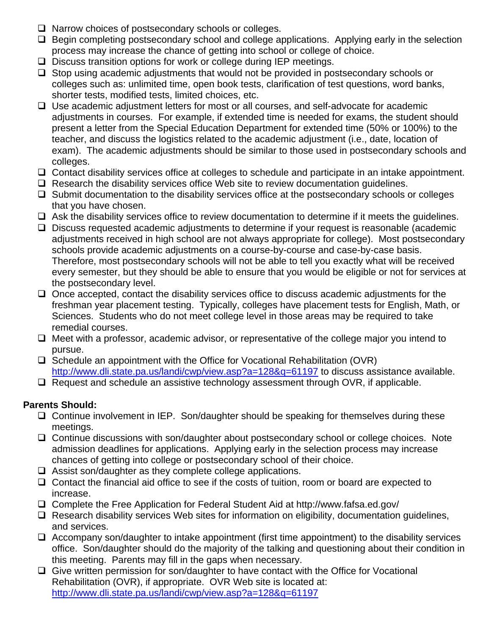- $\Box$  Narrow choices of postsecondary schools or colleges.
- $\Box$  Begin completing postsecondary school and college applications. Applying early in the selection process may increase the chance of getting into school or college of choice.
- $\square$  Discuss transition options for work or college during IEP meetings.
- $\Box$  Stop using academic adjustments that would not be provided in postsecondary schools or colleges such as: unlimited time, open book tests, clarification of test questions, word banks, shorter tests, modified tests, limited choices, etc.
- $\Box$  Use academic adjustment letters for most or all courses, and self-advocate for academic adjustments in courses. For example, if extended time is needed for exams, the student should present a letter from the Special Education Department for extended time (50% or 100%) to the teacher, and discuss the logistics related to the academic adjustment (i.e., date, location of exam). The academic adjustments should be similar to those used in postsecondary schools and colleges.
- □ Contact disability services office at colleges to schedule and participate in an intake appointment.
- $\Box$  Research the disability services office Web site to review documentation quidelines.
- $\Box$  Submit documentation to the disability services office at the postsecondary schools or colleges that you have chosen.
- $\Box$  Ask the disability services office to review documentation to determine if it meets the quidelines.
- $\Box$  Discuss requested academic adjustments to determine if your request is reasonable (academic adjustments received in high school are not always appropriate for college). Most postsecondary schools provide academic adjustments on a course-by-course and case-by-case basis. Therefore, most postsecondary schools will not be able to tell you exactly what will be received every semester, but they should be able to ensure that you would be eligible or not for services at the postsecondary level.
- $\Box$  Once accepted, contact the disability services office to discuss academic adjustments for the freshman year placement testing. Typically, colleges have placement tests for English, Math, or Sciences. Students who do not meet college level in those areas may be required to take remedial courses.
- $\Box$  Meet with a professor, academic advisor, or representative of the college major you intend to pursue.
- $\Box$  Schedule an appointment with the Office for Vocational Rehabilitation (OVR) http://www.dli.state.pa.us/landi/cwp/view.asp?a=128&q=61197 to discuss assistance available.
- $\Box$  Request and schedule an assistive technology assessment through OVR, if applicable.

### **Parents Should:**

- $\Box$  Continue involvement in IEP. Son/daughter should be speaking for themselves during these meetings.
- Continue discussions with son/daughter about postsecondary school or college choices. Note admission deadlines for applications. Applying early in the selection process may increase chances of getting into college or postsecondary school of their choice.
- $\Box$  Assist son/daughter as they complete college applications.
- $\Box$  Contact the financial aid office to see if the costs of tuition, room or board are expected to increase.
- Complete the Free Application for Federal Student Aid at http://www.fafsa.ed.gov/
- $\Box$  Research disability services Web sites for information on eligibility, documentation guidelines, and services.
- $\Box$  Accompany son/daughter to intake appointment (first time appointment) to the disability services office. Son/daughter should do the majority of the talking and questioning about their condition in this meeting. Parents may fill in the gaps when necessary.
- $\Box$  Give written permission for son/daughter to have contact with the Office for Vocational Rehabilitation (OVR), if appropriate. OVR Web site is located at: http://www.dli.state.pa.us/landi/cwp/view.asp?a=128&q=61197